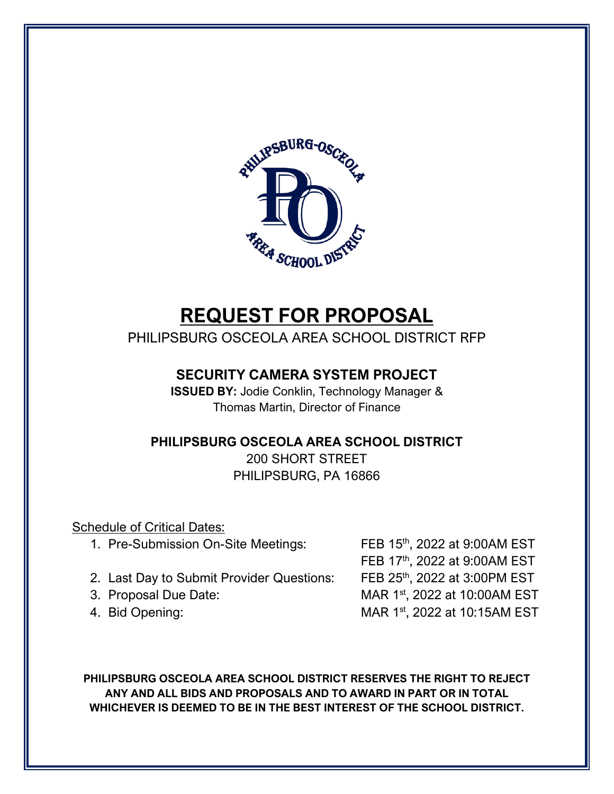

# **REQUEST FOR PROPOSAL**

PHILIPSBURG OSCEOLA AREA SCHOOL DISTRICT RFP

### **SECURITY CAMERA SYSTEM PROJECT**

**ISSUED BY:** Jodie Conklin, Technology Manager & Thomas Martin, Director of Finance

### **PHILIPSBURG OSCEOLA AREA SCHOOL DISTRICT**

200 SHORT STREET PHILIPSBURG, PA 16866

Schedule of Critical Dates:

- 1. Pre-Submission On-Site Meetings: FEB 15<sup>th</sup>, 2022 at 9:00AM EST
- 2. Last Day to Submit Provider Questions: FEB 25<sup>th</sup>, 2022 at 3:00PM EST
- 
- 

FEB 17th, 2022 at 9:00AM EST 3. Proposal Due Date: MAR 1<sup>st</sup>, 2022 at 10:00AM EST 4. Bid Opening: MAR 1st, 2022 at 10:15AM EST

**PHILIPSBURG OSCEOLA AREA SCHOOL DISTRICT RESERVES THE RIGHT TO REJECT ANY AND ALL BIDS AND PROPOSALS AND TO AWARD IN PART OR IN TOTAL WHICHEVER IS DEEMED TO BE IN THE BEST INTEREST OF THE SCHOOL DISTRICT.**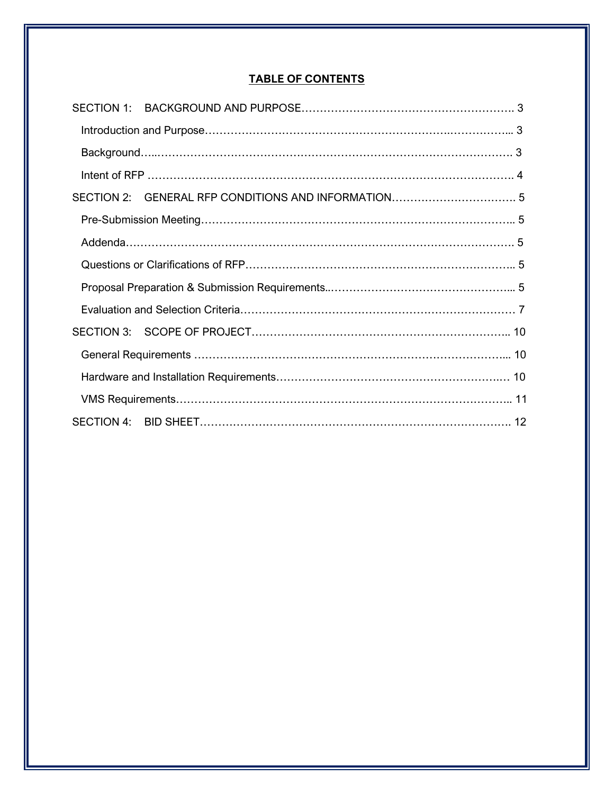#### **TABLE OF CONTENTS**

| SECTION 2: |  |  |
|------------|--|--|
|            |  |  |
|            |  |  |
|            |  |  |
|            |  |  |
|            |  |  |
|            |  |  |
|            |  |  |
|            |  |  |
|            |  |  |
|            |  |  |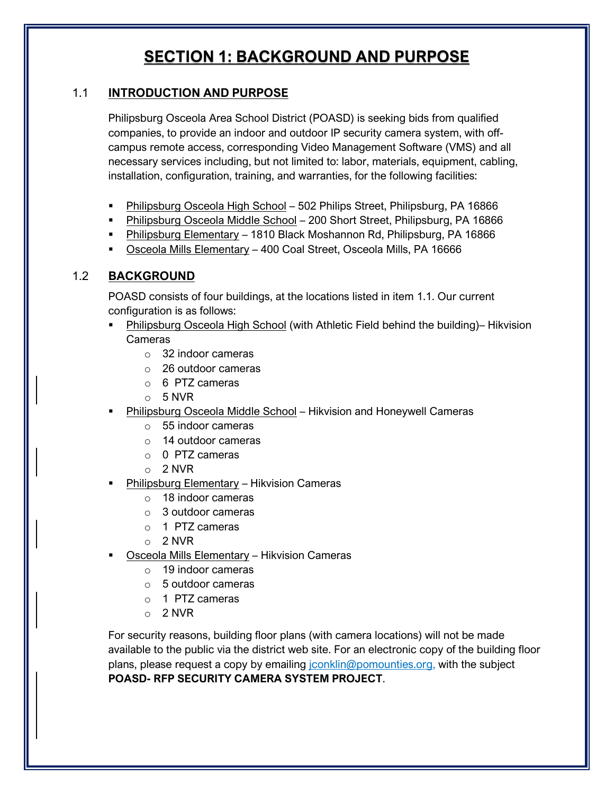### **SECTION 1: BACKGROUND AND PURPOSE**

#### <span id="page-2-0"></span>1.1 **INTRODUCTION AND PURPOSE**

Philipsburg Osceola Area School District (POASD) is seeking bids from qualified companies, to provide an indoor and outdoor IP security camera system, with offcampus remote access, corresponding Video Management Software (VMS) and all necessary services including, but not limited to: labor, materials, equipment, cabling, installation, configuration, training, and warranties, for the following facilities:

- Philipsburg Osceola High School 502 Philips Street, Philipsburg, PA 16866
- Philipsburg Osceola Middle School 200 Short Street, Philipsburg, PA 16866
- Philipsburg Elementary 1810 Black Moshannon Rd, Philipsburg, PA 16866
- Osceola Mills Elementary 400 Coal Street, Osceola Mills, PA 16666

#### 1.2 **BACKGROUND**

POASD consists of four buildings, at the locations listed in item 1.1. Our current configuration is as follows:

- Philipsburg Osceola High School (with Athletic Field behind the building)– Hikvision Cameras
	- o 32 indoor cameras
	- o 26 outdoor cameras
	- o 6 PTZ cameras
	- o 5 NVR
- Philipsburg Osceola Middle School Hikvision and Honeywell Cameras
	- o 55 indoor cameras
	- o 14 outdoor cameras
	- $\circ$  0 PTZ cameras
	- o 2 NVR
- Philipsburg Elementary Hikvision Cameras
	- o 18 indoor cameras
	- o 3 outdoor cameras
	- o 1 PTZ cameras
	- o 2 NVR
- Osceola Mills Elementary Hikvision Cameras
	- o 19 indoor cameras
	- o 5 outdoor cameras
	- $\circ$  1 PTZ cameras
	- o 2 NVR

For security reasons, building floor plans (with camera locations) will not be made available to the public via the district web site. For an electronic copy of the building floor plans, please request a copy by emailing [jconklin@pomounties.org,](mailto:jconklin@pomounties.org) with the subject **POASD- RFP SECURITY CAMERA SYSTEM PROJECT**.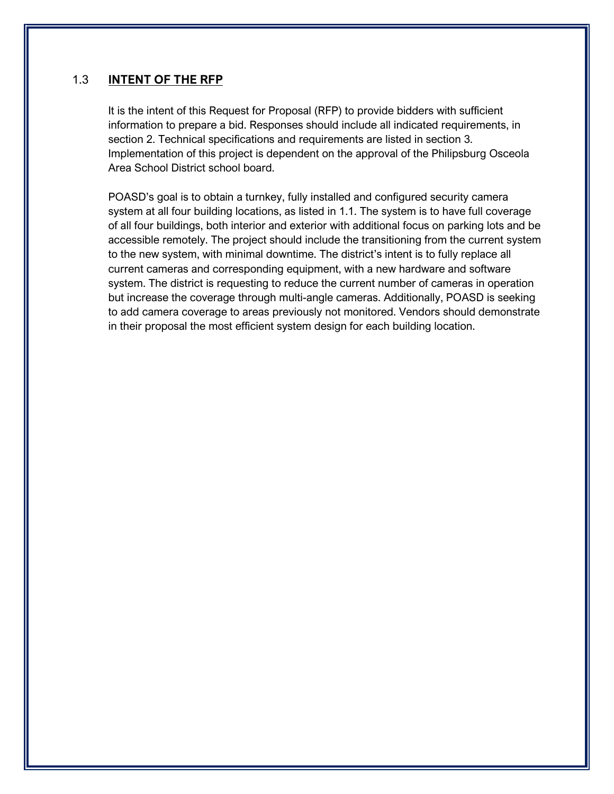#### <span id="page-3-0"></span>1.3 **INTENT OF THE RFP**

It is the intent of this Request for Proposal (RFP) to provide bidders with sufficient information to prepare a bid. Responses should include all indicated requirements, in section 2. Technical specifications and requirements are listed in section 3. Implementation of this project is dependent on the approval of the Philipsburg Osceola Area School District school board.

POASD's goal is to obtain a turnkey, fully installed and configured security camera system at all four building locations, as listed in 1.1. The system is to have full coverage of all four buildings, both interior and exterior with additional focus on parking lots and be accessible remotely. The project should include the transitioning from the current system to the new system, with minimal downtime. The district's intent is to fully replace all current cameras and corresponding equipment, with a new hardware and software system. The district is requesting to reduce the current number of cameras in operation but increase the coverage through multi-angle cameras. Additionally, POASD is seeking to add camera coverage to areas previously not monitored. Vendors should demonstrate in their proposal the most efficient system design for each building location.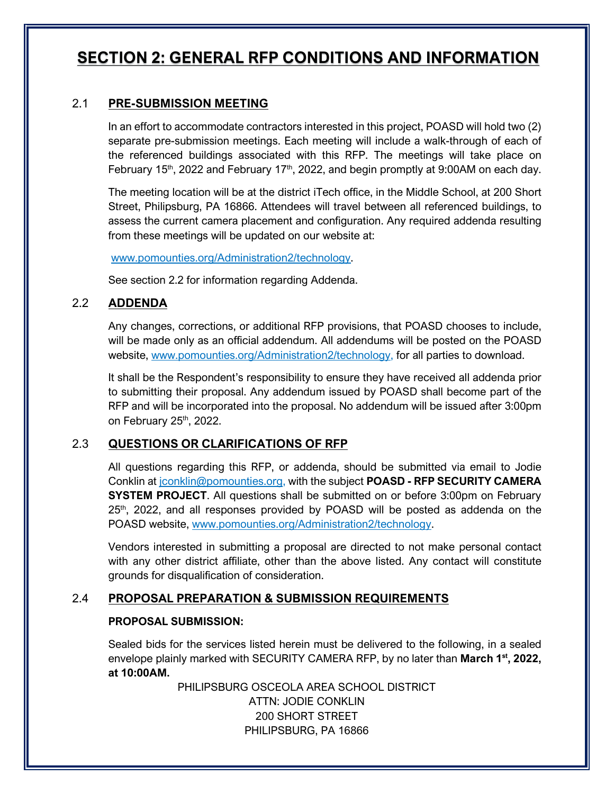### <span id="page-4-0"></span>**SECTION 2: GENERAL RFP CONDITIONS AND INFORMATION**

#### 2.1 **PRE-SUBMISSION MEETING**

In an effort to accommodate contractors interested in this project, POASD will hold two (2) separate pre-submission meetings. Each meeting will include a walk-through of each of the referenced buildings associated with this RFP. The meetings will take place on February 15<sup>th</sup>, 2022 and February 17<sup>th</sup>, 2022, and begin promptly at 9:00AM on each day.

The meeting location will be at the district iTech office, in the Middle School, at 200 Short Street, Philipsburg, PA 16866. Attendees will travel between all referenced buildings, to assess the current camera placement and configuration. Any required addenda resulting from these meetings will be updated on our website at:

[www.pomounties.org/A](http://www.pomounties.org/)dministration2/technology.

See section 2.2 for information regarding Addenda.

#### 2.2 **ADDENDA**

Any changes, corrections, or additional RFP provisions, that POASD chooses to include, will be made only as an official addendum. All addendums will be posted on the POASD website, [www.pomounties.org/A](http://www.pomounties.org/)dministration2/technology, for all parties to download.

It shall be the Respondent's responsibility to ensure they have received all addenda prior to submitting their proposal. Any addendum issued by POASD shall become part of the RFP and will be incorporated into the proposal. No addendum will be issued after 3:00pm on February 25<sup>th</sup>, 2022.

#### 2.3 **QUESTIONS OR CLARIFICATIONS OF RFP**

All questions regarding this RFP, or addenda, should be submitted via email to Jodie Conklin at [jconklin@pomounties.org,](mailto:jconklin@pomounties.org) with the subject **POASD - RFP SECURITY CAMERA SYSTEM PROJECT**. All questions shall be submitted on or before 3:00pm on February 25th, 2022, and all responses provided by POASD will be posted as addenda on the POASD website, [www.pomounties.org/A](http://www.pomounties.org/)dministration2/technology.

Vendors interested in submitting a proposal are directed to not make personal contact with any other district affiliate, other than the above listed. Any contact will constitute grounds for disqualification of consideration.

#### 2.4 **PROPOSAL PREPARATION & SUBMISSION REQUIREMENTS**

#### **PROPOSAL SUBMISSION:**

Sealed bids for the services listed herein must be delivered to the following, in a sealed envelope plainly marked with SECURITY CAMERA RFP, by no later than **March 1<sup>st</sup>, 2022**, **at 10:00AM.**

> PHILIPSBURG OSCEOLA AREA SCHOOL DISTRICT ATTN: JODIE CONKLIN 200 SHORT STREET PHILIPSBURG, PA 16866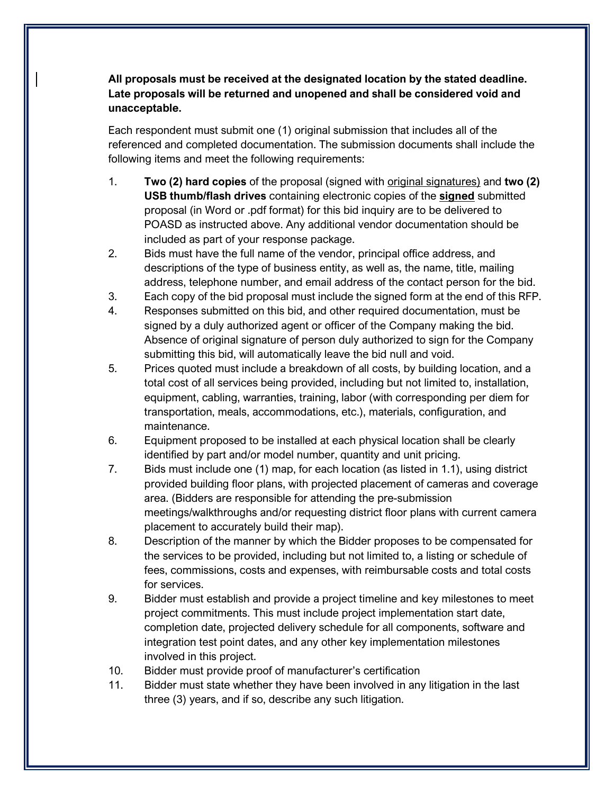**All proposals must be received at the designated location by the stated deadline. Late proposals will be returned and unopened and shall be considered void and unacceptable.**

Each respondent must submit one (1) original submission that includes all of the referenced and completed documentation. The submission documents shall include the following items and meet the following requirements:

- 1. **Two (2) hard copies** of the proposal (signed with original signatures) and **two (2) USB thumb/flash drives** containing electronic copies of the **signed** submitted proposal (in Word or .pdf format) for this bid inquiry are to be delivered to POASD as instructed above. Any additional vendor documentation should be included as part of your response package.
- 2. Bids must have the full name of the vendor, principal office address, and descriptions of the type of business entity, as well as, the name, title, mailing address, telephone number, and email address of the contact person for the bid.
- 3. Each copy of the bid proposal must include the signed form at the end of this RFP.
- 4. Responses submitted on this bid, and other required documentation, must be signed by a duly authorized agent or officer of the Company making the bid. Absence of original signature of person duly authorized to sign for the Company submitting this bid, will automatically leave the bid null and void.
- 5. Prices quoted must include a breakdown of all costs, by building location, and a total cost of all services being provided, including but not limited to, installation, equipment, cabling, warranties, training, labor (with corresponding per diem for transportation, meals, accommodations, etc.), materials, configuration, and maintenance.
- 6. Equipment proposed to be installed at each physical location shall be clearly identified by part and/or model number, quantity and unit pricing.
- 7. Bids must include one (1) map, for each location (as listed in 1.1), using district provided building floor plans, with projected placement of cameras and coverage area. (Bidders are responsible for attending the pre-submission meetings/walkthroughs and/or requesting district floor plans with current camera placement to accurately build their map).
- 8. Description of the manner by which the Bidder proposes to be compensated for the services to be provided, including but not limited to, a listing or schedule of fees, commissions, costs and expenses, with reimbursable costs and total costs for services.
- 9. Bidder must establish and provide a project timeline and key milestones to meet project commitments. This must include project implementation start date, completion date, projected delivery schedule for all components, software and integration test point dates, and any other key implementation milestones involved in this project.
- 10. Bidder must provide proof of manufacturer's certification
- 11. Bidder must state whether they have been involved in any litigation in the last three (3) years, and if so, describe any such litigation.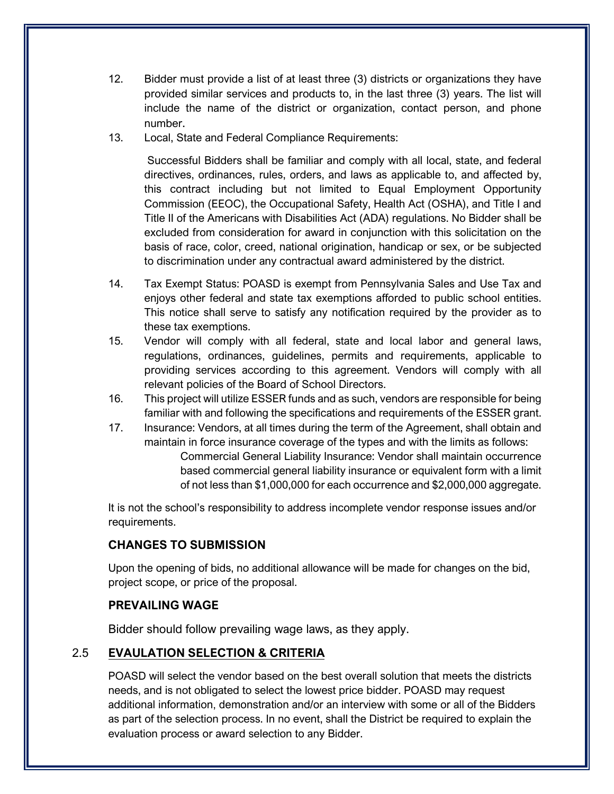- <span id="page-6-0"></span>12. Bidder must provide a list of at least three (3) districts or organizations they have provided similar services and products to, in the last three (3) years. The list will include the name of the district or organization, contact person, and phone number.
- 13. Local, State and Federal Compliance Requirements:

Successful Bidders shall be familiar and comply with all local, state, and federal directives, ordinances, rules, orders, and laws as applicable to, and affected by, this contract including but not limited to Equal Employment Opportunity Commission (EEOC), the Occupational Safety, Health Act (OSHA), and Title I and Title II of the Americans with Disabilities Act (ADA) regulations. No Bidder shall be excluded from consideration for award in conjunction with this solicitation on the basis of race, color, creed, national origination, handicap or sex, or be subjected to discrimination under any contractual award administered by the district.

- 14. Tax Exempt Status: POASD is exempt from Pennsylvania Sales and Use Tax and enjoys other federal and state tax exemptions afforded to public school entities. This notice shall serve to satisfy any notification required by the provider as to these tax exemptions.
- 15. Vendor will comply with all federal, state and local labor and general laws, regulations, ordinances, guidelines, permits and requirements, applicable to providing services according to this agreement. Vendors will comply with all relevant policies of the Board of School Directors.
- 16. This project will utilize ESSER funds and as such, vendors are responsible for being familiar with and following the specifications and requirements of the ESSER grant.
- 17. Insurance: Vendors, at all times during the term of the Agreement, shall obtain and maintain in force insurance coverage of the types and with the limits as follows: Commercial General Liability Insurance: Vendor shall maintain occurrence based commercial general liability insurance or equivalent form with a limit of not less than \$1,000,000 for each occurrence and \$2,000,000 aggregate.

It is not the school's responsibility to address incomplete vendor response issues and/or requirements.

#### **CHANGES TO SUBMISSION**

Upon the opening of bids, no additional allowance will be made for changes on the bid, project scope, or price of the proposal.

#### **PREVAILING WAGE**

Bidder should follow prevailing wage laws, as they apply.

#### 2.5 **EVAULATION SELECTION & CRITERIA**

POASD will select the vendor based on the best overall solution that meets the districts needs, and is not obligated to select the lowest price bidder. POASD may request additional information, demonstration and/or an interview with some or all of the Bidders as part of the selection process. In no event, shall the District be required to explain the evaluation process or award selection to any Bidder.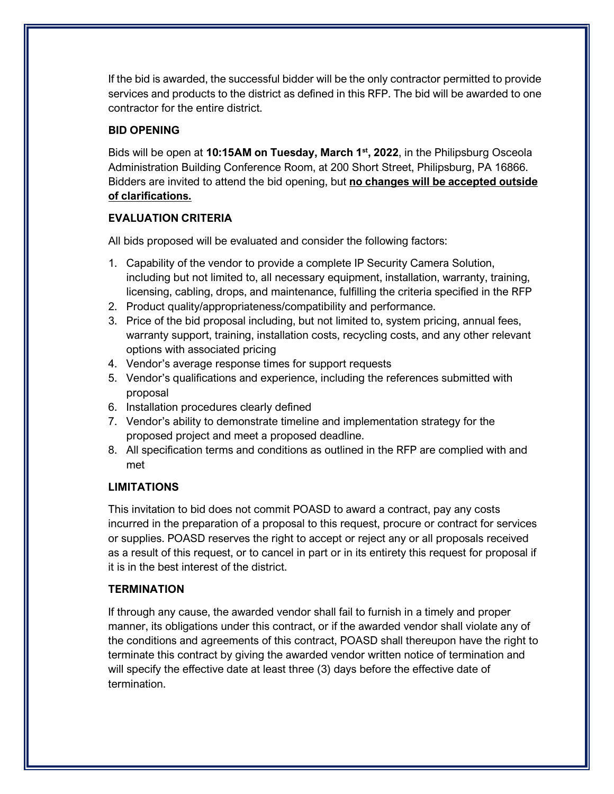If the bid is awarded, the successful bidder will be the only contractor permitted to provide services and products to the district as defined in this RFP. The bid will be awarded to one contractor for the entire district.

#### **BID OPENING**

Bids will be open at **10:15AM on Tuesday, March 1st, 2022**, in the Philipsburg Osceola Administration Building Conference Room, at 200 Short Street, Philipsburg, PA 16866. Bidders are invited to attend the bid opening, but **no changes will be accepted outside of clarifications.**

#### **EVALUATION CRITERIA**

All bids proposed will be evaluated and consider the following factors:

- 1. Capability of the vendor to provide a complete IP Security Camera Solution, including but not limited to, all necessary equipment, installation, warranty, training, licensing, cabling, drops, and maintenance, fulfilling the criteria specified in the RFP
- 2. Product quality/appropriateness/compatibility and performance.
- 3. Price of the bid proposal including, but not limited to, system pricing, annual fees, warranty support, training, installation costs, recycling costs, and any other relevant options with associated pricing
- 4. Vendor's average response times for support requests
- 5. Vendor's qualifications and experience, including the references submitted with proposal
- 6. Installation procedures clearly defined
- 7. Vendor's ability to demonstrate timeline and implementation strategy for the proposed project and meet a proposed deadline.
- 8. All specification terms and conditions as outlined in the RFP are complied with and met

#### **LIMITATIONS**

This invitation to bid does not commit POASD to award a contract, pay any costs incurred in the preparation of a proposal to this request, procure or contract for services or supplies. POASD reserves the right to accept or reject any or all proposals received as a result of this request, or to cancel in part or in its entirety this request for proposal if it is in the best interest of the district.

#### **TERMINATION**

If through any cause, the awarded vendor shall fail to furnish in a timely and proper manner, its obligations under this contract, or if the awarded vendor shall violate any of the conditions and agreements of this contract, POASD shall thereupon have the right to terminate this contract by giving the awarded vendor written notice of termination and will specify the effective date at least three (3) days before the effective date of termination.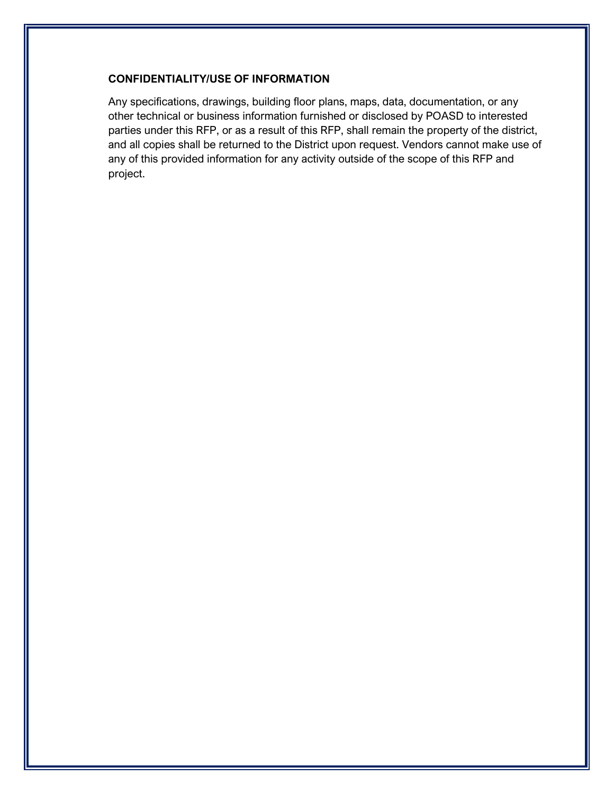#### **CONFIDENTIALITY/USE OF INFORMATION**

Any specifications, drawings, building floor plans, maps, data, documentation, or any other technical or business information furnished or disclosed by POASD to interested parties under this RFP, or as a result of this RFP, shall remain the property of the district, and all copies shall be returned to the District upon request. Vendors cannot make use of any of this provided information for any activity outside of the scope of this RFP and project.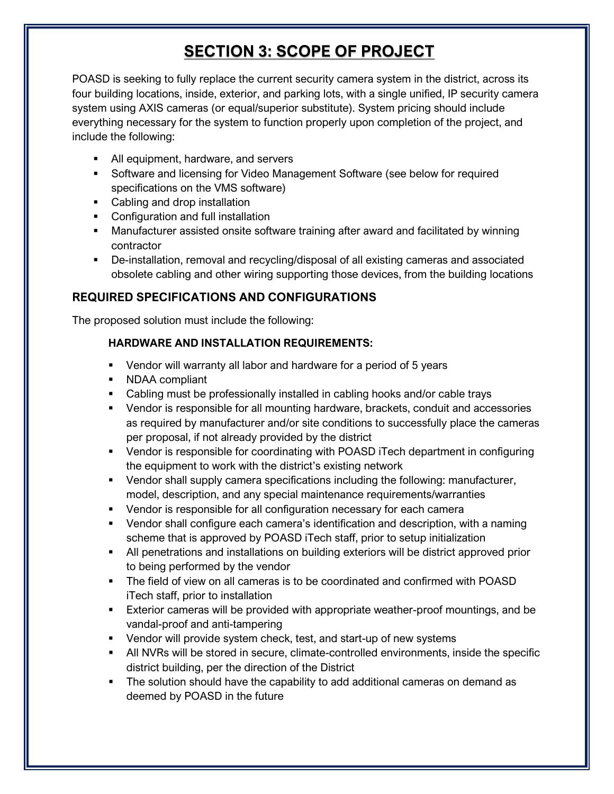## **SECTION 3: SCOPE OF PROJECT**

<span id="page-9-0"></span>POASD is seeking to fully replace the current security camera system in the district, across its four building locations, inside, exterior, and parking lots, with a single unified, IP security camera system using AXIS cameras (or equal/superior substitute). System pricing should include everything necessary for the system to function properly upon completion of the project, and include the following:

- All equipment, hardware, and servers
- Software and licensing for Video Management Software (see below for required specifications on the VMS software)
- Cabling and drop installation
- Configuration and full installation
- Manufacturer assisted onsite software training after award and facilitated by winning contractor
- De-installation, removal and recycling/disposal of all existing cameras and associated obsolete cabling and other wiring supporting those devices, from the building locations

#### **REQUIRED SPECIFICATIONS AND CONFIGURATIONS**

The proposed solution must include the following:

#### **HARDWARE AND INSTALLATION REQUIREMENTS:**

- Vendor will warranty all labor and hardware for a period of 5 years
- NDAA compliant
- Cabling must be professionally installed in cabling hooks and/or cable trays
- Vendor is responsible for all mounting hardware, brackets, conduit and accessories as required by manufacturer and/or site conditions to successfully place the cameras per proposal, if not already provided by the district
- Vendor is responsible for coordinating with POASD iTech department in configuring the equipment to work with the district's existing network
- Vendor shall supply camera specifications including the following: manufacturer, model, description, and any special maintenance requirements/warranties
- Vendor is responsible for all configuration necessary for each camera
- Vendor shall configure each camera's identification and description, with a naming scheme that is approved by POASD iTech staff, prior to setup initialization
- All penetrations and installations on building exteriors will be district approved prior to being performed by the vendor
- The field of view on all cameras is to be coordinated and confirmed with POASD iTech staff, prior to installation
- Exterior cameras will be provided with appropriate weather-proof mountings, and be vandal-proof and anti-tampering
- Vendor will provide system check, test, and start-up of new systems
- All NVRs will be stored in secure, climate-controlled environments, inside the specific district building, per the direction of the District
- The solution should have the capability to add additional cameras on demand as deemed by POASD in the future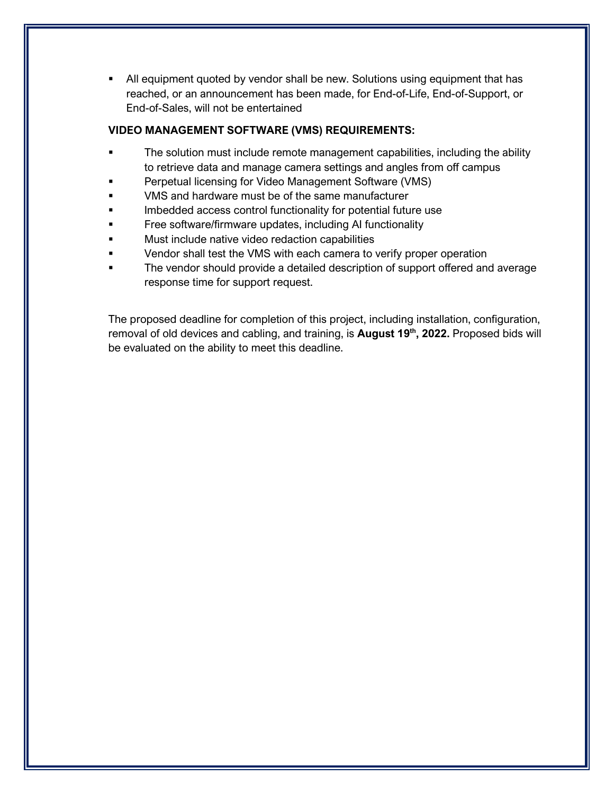<span id="page-10-0"></span> All equipment quoted by vendor shall be new. Solutions using equipment that has reached, or an announcement has been made, for End-of-Life, End-of-Support, or End-of-Sales, will not be entertained

#### **VIDEO MANAGEMENT SOFTWARE (VMS) REQUIREMENTS:**

- **The solution must include remote management capabilities, including the ability** to retrieve data and manage camera settings and angles from off campus
- Perpetual licensing for Video Management Software (VMS)
- VMS and hardware must be of the same manufacturer
- Imbedded access control functionality for potential future use
- **Figure 1** Free software/firmware updates, including AI functionality
- Must include native video redaction capabilities
- **Example 3** Vendor shall test the VMS with each camera to verify proper operation
- The vendor should provide a detailed description of support offered and average response time for support request.

The proposed deadline for completion of this project, including installation, configuration, removal of old devices and cabling, and training, is **August 19<sup>th</sup>, 2022.** Proposed bids will be evaluated on the ability to meet this deadline.